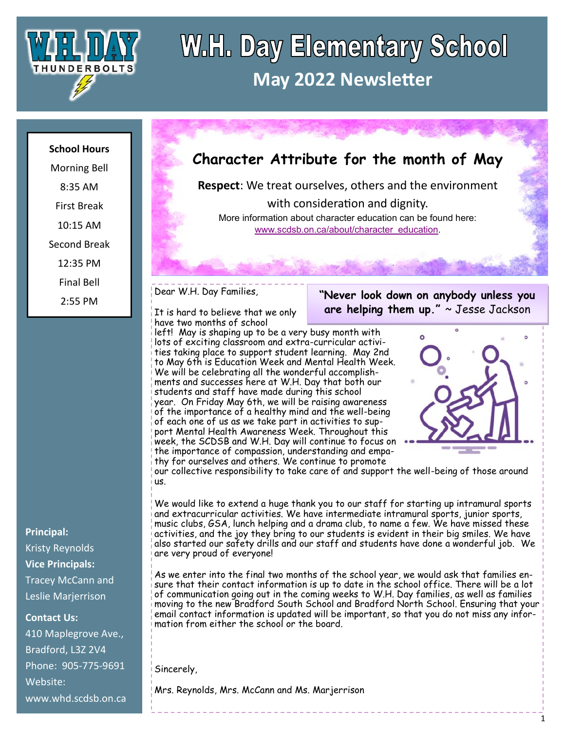

## **W.H. Day Elementary School May 2022 Newsletter**

#### **School Hours**

Morning Bell 8:35 AM First Break 10:15 AM Second Break 12:35 PM Final Bell 2:55 PM

**Principal:** Kristy Reynolds **Vice Principals:** Tracey McCann and Leslie Marjerrison

**Contact Us:**

410 Maplegrove Ave., Bradford, L3Z 2V4 Phone: 905-775-9691 Website: www.whd.scdsb.on.ca

## **Character Attribute for the month of May**

**Respect**: We treat ourselves, others and the environment

with consideration and dignity. More information about character education can be found here: [www.scdsb.on.ca/about/character\\_education.](http://www.scdsb.on.ca/about/character_education)

Dear W.H. Day Families,

It is hard to believe that we only have two months of school

left! May is shaping up to be a very busy month with lots of exciting classroom and extra-curricular activities taking place to support student learning. May 2nd to May 6th is Education Week and Mental Health Week. We will be celebrating all the wonderful accomplishments and successes here at W.H. Day that both our students and staff have made during this school year. On Friday May 6th, we will be raising awareness of the importance of a healthy mind and the well-being of each one of us as we take part in activities to support Mental Health Awareness Week. Throughout this week, the SCDSB and W.H. Day will continue to focus on the importance of compassion, understanding and empathy for ourselves and others. We continue to promote



**"Never look down on anybody unless you are helping them up."** ~ Jesse Jackson

our collective responsibility to take care of and support the well-being of those around us.

We would like to extend a huge thank you to our staff for starting up intramural sports and extracurricular activities. We have intermediate intramural sports, junior sports, music clubs, GSA, lunch helping and a drama club, to name a few. We have missed these activities, and the joy they bring to our students is evident in their big smiles. We have also started our safety drills and our staff and students have done a wonderful job. We are very proud of everyone!

As we enter into the final two months of the school year, we would ask that families ensure that their contact information is up to date in the school office. There will be a lot of communication going out in the coming weeks to W.H. Day families, as well as families moving to the new Bradford South School and Bradford North School. Ensuring that your email contact information is updated will be important, so that you do not miss any information from either the school or the board.

Sincerely,

Mrs. Reynolds, Mrs. McCann and Ms. Marjerrison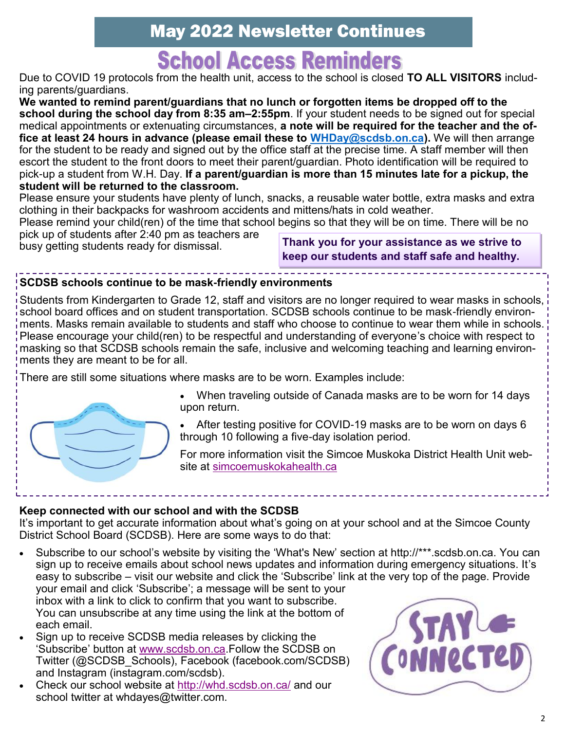## **School Access Reminders**

Due to COVID 19 protocols from the health unit, access to the school is closed **TO ALL VISITORS** including parents/guardians.

**We wanted to remind parent/guardians that no lunch or forgotten items be dropped off to the school during the school day from 8:35 am–2:55pm**. If your student needs to be signed out for special medical appointments or extenuating circumstances, **a note will be required for the teacher and the office at least 24 hours in advance (please email these to [WHDay@scdsb.on.ca\).](mailto:WHDay@scdsb.on.ca)** We will then arrange for the student to be ready and signed out by the office staff at the precise time. A staff member will then escort the student to the front doors to meet their parent/guardian. Photo identification will be required to pick-up a student from W.H. Day. **If a parent/guardian is more than 15 minutes late for a pickup, the student will be returned to the classroom.**

Please ensure your students have plenty of lunch, snacks, a reusable water bottle, extra masks and extra clothing in their backpacks for washroom accidents and mittens/hats in cold weather.

Please remind your child(ren) of the time that school begins so that they will be on time. There will be no

pick up of students after 2:40 pm as teachers are

busy getting students ready for dismissal. **Thank you for your assistance as we strive to keep our students and staff safe and healthy.**

#### **SCDSB schools continue to be mask-friendly environments**

Students from Kindergarten to Grade 12, staff and visitors are no longer required to wear masks in schools, school board offices and on student transportation. SCDSB schools continue to be mask-friendly environments. Masks remain available to students and staff who choose to continue to wear them while in schools. Please encourage your child(ren) to be respectful and understanding of everyone's choice with respect to masking so that SCDSB schools remain the safe, inclusive and welcoming teaching and learning environments they are meant to be for all.

There are still some situations where masks are to be worn. Examples include:



- When traveling outside of Canada masks are to be worn for 14 days upon return.
- After testing positive for COVID-19 masks are to be worn on days 6 through 10 following a five-day isolation period.

For more information visit the Simcoe Muskoka District Health Unit website at [simcoemuskokahealth.ca](https://www.simcoemuskokahealth.org/Topics/COVID-19#b6072a60-b91e-4df5-8d91-63624e9f24ea)

#### **Keep connected with our school and with the SCDSB**

It's important to get accurate information about what's going on at your school and at the Simcoe County District School Board (SCDSB). Here are some ways to do that:

- Subscribe to our school's website by visiting the 'What's New' section at http://\*\*\*.scdsb.on.ca. You can sign up to receive emails about school news updates and information during emergency situations. It's easy to subscribe – visit our website and click the 'Subscribe' link at the very top of the page. Provide your email and click 'Subscribe'; a message will be sent to your inbox with a link to click to confirm that you want to subscribe. You can unsubscribe at any time using the link at the bottom of each email.
- Sign up to receive SCDSB media releases by clicking the 'Subscribe' button at [www.scdsb.on.ca.F](http://www.scdsb.on.ca)ollow the SCDSB on Twitter (@SCDSB\_Schools), Facebook (facebook.com/SCDSB) and Instagram (instagram.com/scdsb).
- Check our school website at<http://whd.scdsb.on.ca/> and our school twitter at whdayes@twitter.com.

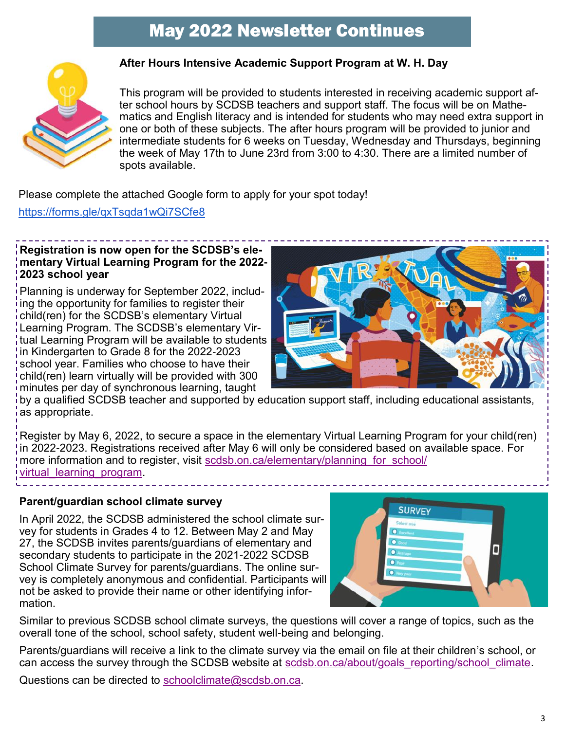

#### **After Hours Intensive Academic Support Program at W. H. Day**

This program will be provided to students interested in receiving academic support after school hours by SCDSB teachers and support staff. The focus will be on Mathematics and English literacy and is intended for students who may need extra support in one or both of these subjects. The after hours program will be provided to junior and intermediate students for 6 weeks on Tuesday, Wednesday and Thursdays, beginning the week of May 17th to June 23rd from 3:00 to 4:30. There are a limited number of spots available.

Please complete the attached Google form to apply for your spot today!

<https://forms.gle/qxTsqda1wQi7SCfe8>

#### **Registration is now open for the SCDSB's elementary Virtual Learning Program for the 2022- 2023 school year**

Planning is underway for September 2022, including the opportunity for families to register their child(ren) for the SCDSB's elementary Virtual Learning Program. The SCDSB's elementary Virtual Learning Program will be available to students in Kindergarten to Grade 8 for the 2022-2023 school year. Families who choose to have their child(ren) learn virtually will be provided with 300 minutes per day of synchronous learning, taught



by a qualified SCDSB teacher and supported by education support staff, including educational assistants, as appropriate.

Register by May 6, 2022, to secure a space in the elementary Virtual Learning Program for your child(ren) in 2022-2023. Registrations received after May 6 will only be considered based on available space. For more information and to register, visit scdsb.on.ca/elementary/planning for school/ [virtual\\_learning\\_program.](http://www.scdsb.on.ca/elementary/planning_for_school/virtual_learning_program) 

#### **Parent/guardian school climate survey**

In April 2022, the SCDSB administered the school climate survey for students in Grades 4 to 12. Between May 2 and May 27, the SCDSB invites parents/guardians of elementary and secondary students to participate in the 2021-2022 SCDSB School Climate Survey for parents/guardians. The online survey is completely anonymous and confidential. Participants will not be asked to provide their name or other identifying information.



Similar to previous SCDSB school climate surveys, the questions will cover a range of topics, such as the overall tone of the school, school safety, student well-being and belonging.

Parents/guardians will receive a link to the climate survey via the email on file at their children's school, or can access the survey through the SCDSB website at scdsb.on.ca/about/goals reporting/school climate.

Questions can be directed to [schoolclimate@scdsb.on.ca.](mailto:schoolclimate@scdsb.on.ca)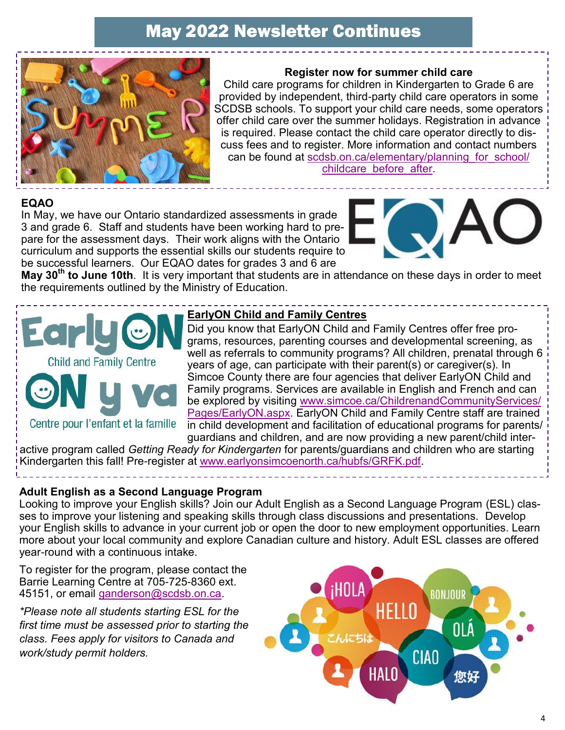

#### **Register now for summer child care**

Child care programs for children in Kindergarten to Grade 6 are provided by independent, third-party child care operators in some SCDSB schools. To support your child care needs, some operators offer child care over the summer holidays. Registration in advance is required. Please contact the child care operator directly to discuss fees and to register. More information and contact numbers can be found at scdsb.on.ca/elementary/planning for school/ [childcare\\_before\\_after.](https://scdsb.on.ca/elementary/planning_for_school/childcare_before_after)

#### **EQAO**

In May, we have our Ontario standardized assessments in grade 3 and grade 6. Staff and students have been working hard to prepare for the assessment days. Their work aligns with the Ontario curriculum and supports the essential skills our students require to be successful learners. Our EQAO dates for grades 3 and 6 are



**May 30th to June 10th**. It is very important that students are in attendance on these days in order to meet the requirements outlined by the Ministry of Education.



#### **EarlyON Child and Family Centres**

Did you know that EarlyON Child and Family Centres offer free programs, resources, parenting courses and developmental screening, as well as referrals to community programs? All children, prenatal through 6 years of age, can participate with their parent(s) or caregiver(s). In Simcoe County there are four agencies that deliver EarlyON Child and Family programs. Services are available in English and French and can be explored by visiting [www.simcoe.ca/ChildrenandCommunityServices/](https://can01.safelinks.protection.outlook.com/?url=https%3A%2F%2Fwww.simcoe.ca%2FChildrenandCommunityServices%2FPages%2FEarlyON.aspx&data=04%7C01%7Cafarrell%40scdsb.on.ca%7C98cf9ce9ef964dc1666e08d9d763dc41%7C573d7e64d5434fd8b3da0c64adc4eb35%7C1%7C0%7C6377776) [Pages/EarlyON.aspx.](https://can01.safelinks.protection.outlook.com/?url=https%3A%2F%2Fwww.simcoe.ca%2FChildrenandCommunityServices%2FPages%2FEarlyON.aspx&data=04%7C01%7Cafarrell%40scdsb.on.ca%7C98cf9ce9ef964dc1666e08d9d763dc41%7C573d7e64d5434fd8b3da0c64adc4eb35%7C1%7C0%7C6377776) EarlyON Child and Family Centre staff are trained in child development and facilitation of educational programs for parents/ guardians and children, and are now providing a new parent/child inter-

active program called *Getting Ready for Kindergarten* for parents/guardians and children who are starting Kindergarten this fall! Pre-register at [www.earlyonsimcoenorth.ca/hubfs/GRFK.pdf.](http://www.earlyonsimcoenorth.ca/hubfs/GRFK.pdf)

#### **Adult English as a Second Language Program**

Looking to improve your English skills? Join our Adult English as a Second Language Program (ESL) classes to improve your listening and speaking skills through class discussions and presentations. Develop your English skills to advance in your current job or open the door to new employment opportunities. Learn more about your local community and explore Canadian culture and history. Adult ESL classes are offered year-round with a continuous intake.

To register for the program, please contact the Barrie Learning Centre at 705-725-8360 ext. 45151, or email [ganderson@scdsb.on.ca.](mailto:ganderson@scdsb.on.ca)

*\*Please note all students starting ESL for the first time must be assessed prior to starting the class. Fees apply for visitors to Canada and work/study permit holders.*

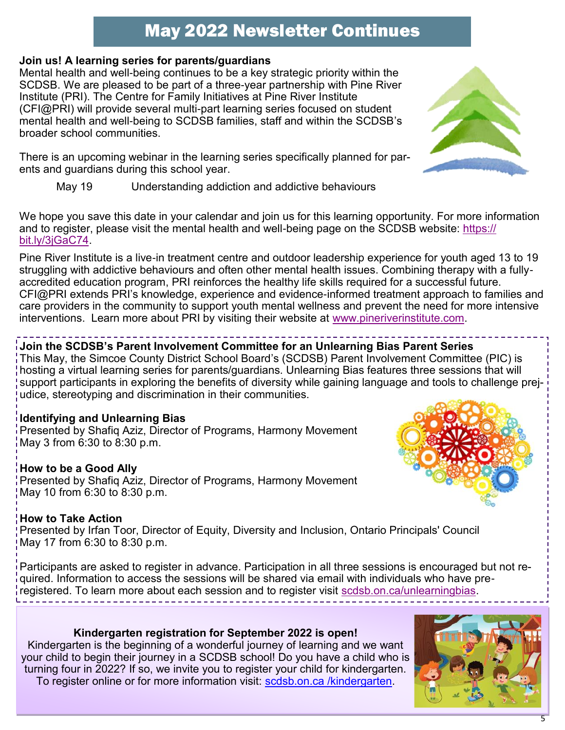#### **Join us! A learning series for parents/guardians**

Mental health and well-being continues to be a key strategic priority within the SCDSB. We are pleased to be part of a three-year partnership with Pine River Institute (PRI). The Centre for Family Initiatives at Pine River Institute (CFI@PRI) will provide several multi-part learning series focused on student mental health and well-being to SCDSB families, staff and within the SCDSB's broader school communities.

There is an upcoming webinar in the learning series specifically planned for parents and guardians during this school year.

May 19 Understanding addiction and addictive behaviours

We hope you save this date in your calendar and join us for this learning opportunity. For more information and to register, please visit the mental health and well-being page on the SCDSB website: [https://](https://can01.safelinks.protection.outlook.com/?url=https%3A%2F%2Fbit.ly%2F3jGaC74&data=04%7C01%7Cafarrell%40scdsb.on.ca%7Cec4ecedd6fe14e8d9f3708d999468884%7C573d7e64d5434fd8b3da0c64adc4eb35%7C1%7C0%7C637709350472482142%7CUnknown%7CTWFpbGZsb3d8eyJWIjoiMC4wLjA) [bit.ly/3jGaC74.](https://can01.safelinks.protection.outlook.com/?url=https%3A%2F%2Fbit.ly%2F3jGaC74&data=04%7C01%7Cafarrell%40scdsb.on.ca%7Cec4ecedd6fe14e8d9f3708d999468884%7C573d7e64d5434fd8b3da0c64adc4eb35%7C1%7C0%7C637709350472482142%7CUnknown%7CTWFpbGZsb3d8eyJWIjoiMC4wLjA)

Pine River Institute is a live-in treatment centre and outdoor leadership experience for youth aged 13 to 19 struggling with addictive behaviours and often other mental health issues. Combining therapy with a fullyaccredited education program, PRI reinforces the healthy life skills required for a successful future. CFI@PRI extends PRI's knowledge, experience and evidence-informed treatment approach to families and care providers in the community to support youth mental wellness and prevent the need for more intensive interventions. Learn more about PRI by visiting their website at [www.pineriverinstitute.com.](http://www.pineriverinstitute.com)

### **Join the SCDSB's Parent Involvement Committee for an Unlearning Bias Parent Series**

This May, the Simcoe County District School Board's (SCDSB) Parent Involvement Committee (PIC) is hosting a virtual learning series for parents/guardians. Unlearning Bias features three sessions that will support participants in exploring the benefits of diversity while gaining language and tools to challenge prejudice, stereotyping and discrimination in their communities.

#### **Identifying and Unlearning Bias**

Presented by Shafiq Aziz, Director of Programs, Harmony Movement May 3 from 6:30 to 8:30 p.m.

#### **How to be a Good Ally**

Presented by Shafiq Aziz, Director of Programs, Harmony Movement May 10 from 6:30 to 8:30 p.m.

#### **How to Take Action**

Presented by Irfan Toor, Director of Equity, Diversity and Inclusion, Ontario Principals' Council May 17 from 6:30 to 8:30 p.m.

Participants are asked to register in advance. Participation in all three sessions is encouraged but not required. Information to access the sessions will be shared via email with individuals who have preregistered. To learn more about each session and to register visit [scdsb.on.ca/unlearningbias.](http://www.scdsb.on.ca/unlearningbias)

**Kindergarten registration for September 2022 is open!**

Kindergarten is the beginning of a wonderful journey of learning and we want your child to begin their journey in a SCDSB school! Do you have a child who is turning four in 2022? If so, we invite you to register your child for kindergarten. To register online or for more information visit: scdsb.on.ca /kindergarten.





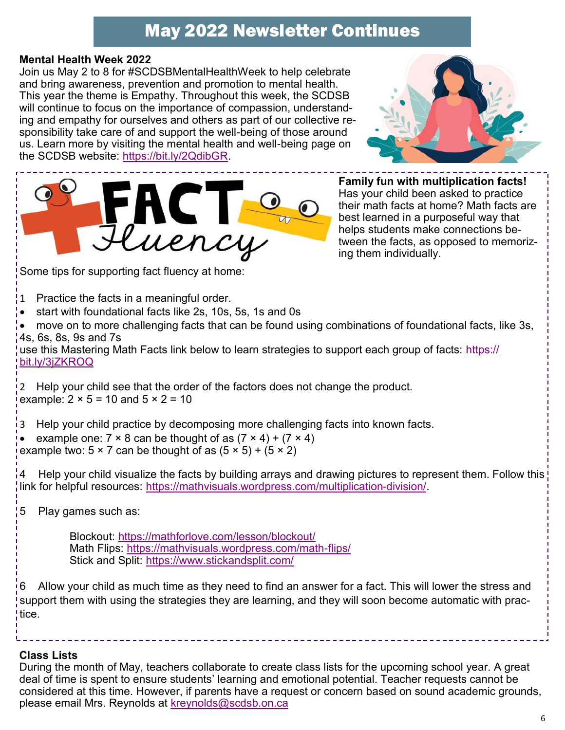#### **Mental Health Week 2022**

Join us May 2 to 8 for #SCDSBMentalHealthWeek to help celebrate and bring awareness, prevention and promotion to mental health. This year the theme is Empathy. Throughout this week, the SCDSB will continue to focus on the importance of compassion, understanding and empathy for ourselves and others as part of our collective responsibility take care of and support the well-being of those around us. Learn more by visiting the mental health and well-being page on the SCDSB website: [https://bit.ly/2QdibGR.](https://can01.safelinks.protection.outlook.com/?url=https%3A%2F%2Fbit.ly%2F2QdibGR&data=05%7C01%7Cafarrell%40scdsb.on.ca%7C903b0af0f26f40fafc7e08da22e4dfad%7C573d7e64d5434fd8b3da0c64adc4eb35%7C1%7C0%7C637860663636251511%7CUnknown%7CTWFpbGZsb3d8eyJWIjoiMC4wLjA)





Some tips for supporting fact fluency at home:

- 1 Practice the facts in a meaningful order.
- start with foundational facts like 2s, 10s, 5s, 1s and 0s

• move on to more challenging facts that can be found using combinations of foundational facts, like 3s, 4s, 6s, 8s, 9s and 7s

use this Mastering Math Facts link below to learn strategies to support each group of facts: [https://](https://bit.ly/3jZKROQ) [bit.ly/3jZKROQ](https://bit.ly/3jZKROQ)

2 Help your child see that the order of the factors does not change the product. example:  $2 \times 5 = 10$  and  $5 \times 2 = 10$ 

3 Help your child practice by decomposing more challenging facts into known facts.

example one:  $7 \times 8$  can be thought of as  $(7 \times 4) + (7 \times 4)$ example two:  $5 \times 7$  can be thought of as  $(5 \times 5) + (5 \times 2)$ 

4 Help your child visualize the facts by building arrays and drawing pictures to represent them. Follow this link for helpful resources: [https://mathvisuals.wordpress.com/multiplication-division/.](https://mathvisuals.wordpress.com/multiplication-division/)

5 Play games such as:

Blockout:<https://mathforlove.com/lesson/blockout/> Math Flips:<https://mathvisuals.wordpress.com/math-flips/> Stick and Split:<https://www.stickandsplit.com/>

6 Allow your child as much time as they need to find an answer for a fact. This will lower the stress and support them with using the strategies they are learning, and they will soon become automatic with practice.

#### **Class Lists**

During the month of May, teachers collaborate to create class lists for the upcoming school year. A great deal of time is spent to ensure students' learning and emotional potential. Teacher requests cannot be considered at this time. However, if parents have a request or concern based on sound academic grounds, please email Mrs. Reynolds at [kreynolds@scdsb.on.ca](mailto:kreynolds@scdsb.on.ca)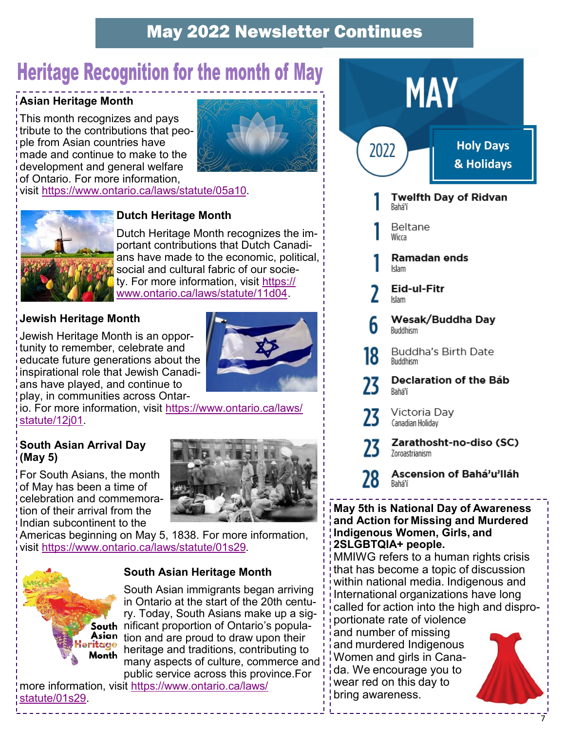## **Heritage Recognition for the month of May**

#### **Asian Heritage Month**

This month recognizes and pays tribute to the contributions that people from Asian countries have made and continue to make to the development and general welfare of Ontario. For more information,



visit [https://www.ontario.ca/laws/statute/05a10.](https://www.ontario.ca/laws/statute/05a10)



#### **Dutch Heritage Month**

Dutch Heritage Month recognizes the important contributions that Dutch Canadians have made to the economic, political, social and cultural fabric of our society. For more information, visit [https://](https://www.ontario.ca/laws/statute/11d04) [www.ontario.ca/laws/statute/11d04.](https://www.ontario.ca/laws/statute/11d04)

#### **Jewish Heritage Month**

Jewish Heritage Month is an opportunity to remember, celebrate and educate future generations about the inspirational role that Jewish Canadians have played, and continue to play, in communities across Ontar-



io. For more information, visit [https://www.ontario.ca/laws/](https://www.ontario.ca/laws/statute/12j01) [statute/12j01.](https://www.ontario.ca/laws/statute/12j01)

#### **South Asian Arrival Day (May 5)**

For South Asians, the month of May has been a time of celebration and commemoration of their arrival from the Indian subcontinent to the



Americas beginning on May 5, 1838. For more information, visit [https://www.ontario.ca/laws/statute/01s29.](https://www.ontario.ca/laws/statute/01s29)

#### **South Asian Heritage Month**

South Asian immigrants began arriving in Ontario at the start of the 20th century. Today, South Asians make up a sig-South nificant proportion of Ontario's popula-Asian tion and are proud to draw upon their ritage from and arc producted and upon them<br>Month heritage and traditions, contributing to many aspects of culture, commerce and public service across this province.For

more information, visit [https://www.ontario.ca/laws/](https://www.ontario.ca/laws/statute/01s29) [statute/01s29.](https://www.ontario.ca/laws/statute/01s29)



#### **May 5th is National Day of Awareness and Action for Missing and Murdered Indigenous Women, Girls, and 2SLGBTQIA+ people.**

MMIWG refers to a human rights crisis that has become a topic of discussion within national media. Indigenous and International organizations have long called for action into the high and disproportionate rate of violence

and number of missing and murdered Indigenous Women and girls in Canada. We encourage you to wear red on this day to bring awareness.



7